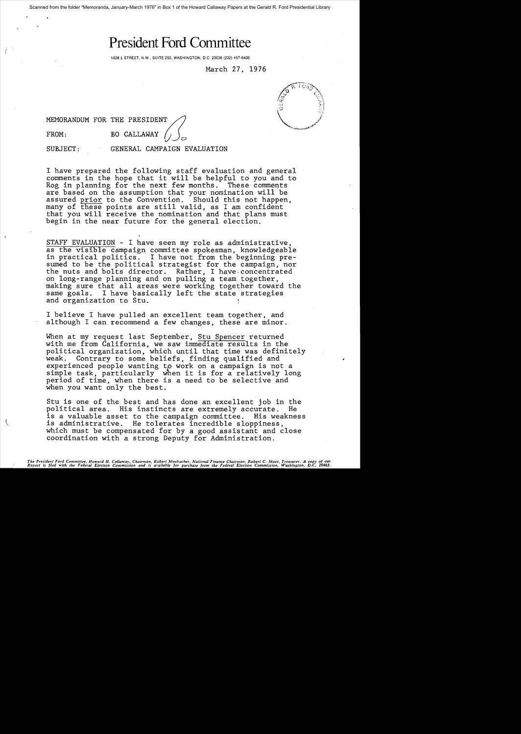Scanned from the folder "Memoranda, January-March 1976" in Box 1 of the Howard Callaway Papers at the Gerald R. Ford Presidential Library

# **President Ford Committee**

1828 L STREET, N.W., SUITE 250, WASHINGTON, D.C. 20036 (202) 457-6400

March 27, 1976

MEMORANDUM FOR THE PRESIDENT

FROM: BO CALLAWAY

(

SUBJECT: GENERAL CAMPAIGN EVALUATION

I have prepared the following staff evaluation and general comments in the hope that it will be helpful to you and to Rog in planning for the next few months. These comments are based on the assumption that your nomination will be assured prior to the Convention. Should this not happen, many of these points are still valid, as I am confident that you will receive the nomination and that plans must begin in the near future for the general election.

STAFF EVALUATION - I have seen my role as administrative, as the visible campaign committee spokesman, knowledgeable in practical politics. I have not from the beginning presumed to be the political strategist for the campaign, nor the nuts and bolts director. Rather, I have. concentrated on long-range planning and on pulling a team together, making sure that all areas were working together toward the same goals. I have basically left the state strategies and organization to Stu.

I believe I have pulled an excellent team together, and although I can recommend a few changes, these are minor.

When at my request last September, Stu Spencer returned with me from California, we saw immediate results in the political organization, which until that time was definitely<br>weak. Contrary to some beliefs. finding qualified and Contrary to some beliefs, finding qualified and experienced people wanting to work on a campaign is not a simple task, particularly when it is for a relatively long period of time, 'when there is a need to be selective and when you want only the best.

Stu is one of the best and has done an excellent job in the political area. His instincts are extremely accurate. He is a valuable asset to the campaign committee. His weakness is administrative. He tolerates incredible sloppiness, which must be compensated for by a good assistant and close coordination with a strong Deputy for Administration.

The President Ford Committee, Howard H. Callaway, Chairman, Robert Mosbacher, National Finance Chairman, Robert C. Moot, Treasurer. A copy of our<br>Report is filed with the Federal Election Commission and is available for pu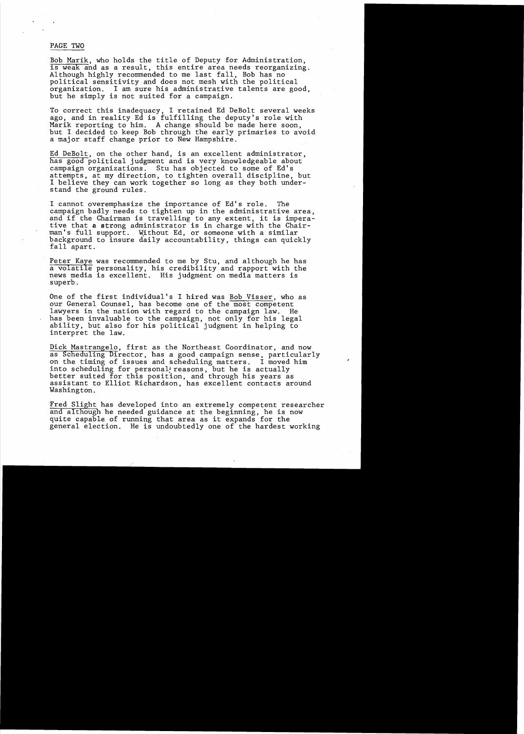## PAGE TWO

Bob Marik, who holds the title of Deputy for Administration, is weak and as a result, this entire area needs reorganizing. Although highly recommended to me last fall, Bob has no political sensitivity and does not mesh with the political organization. I am sure his administrative talents are good, but he simply is not suited for a campaign.

To correct this inadequacy, I retained Ed DeBolt several weeks ago, and in reality Ed is fulfilling the deputy's role with Marik reporting to him. A change should be made here soon, but I decided to keep Bob through the early primaries to avoid a major staff change prior to New Hampshire.

Ed DeBolt, on the other hand, is an excellent administrator, has good political judgment and is very knowledgeable about campaign organizations. Stu has objected to some of Ed's attempts, at my direction, to tighten overall discipline, but I believe they can work together so long as they both understand the ground rules.

I cannot overemphasize the importance of Ed's role. The campaign badly needs to tighten up in the administrative area, and if the Chairman is travelling to any extent, it is imperative that a strong administrator is in charge with the Chairman's full support. Without Ed, or someone with a similar background to insure daily accountability, things can quickly fall apart.

Peter Kaye was recommended to me by Stu, and although he has a volatile personality, his credibility and rapport with the news media is excellent. His judgment on media matters is superb.

One of the first individual's I hired was Bob Visser, who as our General Counsel, has become one of the most competent lawyers in the nation with regard to the campaign law. He has been invaluable to the campaign, not only for his legal ability, but also for his political judgment in helping to interpret the law.

Dick Mastrangelo, first as the Northeast Coordinator, and now as Scheduling Director, has a good campaign sense, particularly<br>on the timing of issues and scheduling matters. I moved him on the timing of issues and scheduling matters. into scheduling for personal<sup>1</sup> reasons, but he is actually better suited for this position, and through his years as assistant to Elliot Richardson, has excellent contacts around Washington.

Fred Slight has developed into an extremely competent researcher and although he needed guidance at the beginning, he is now quite capable of running that area as it expands for the general election. He is undoubtedly one of the hardest working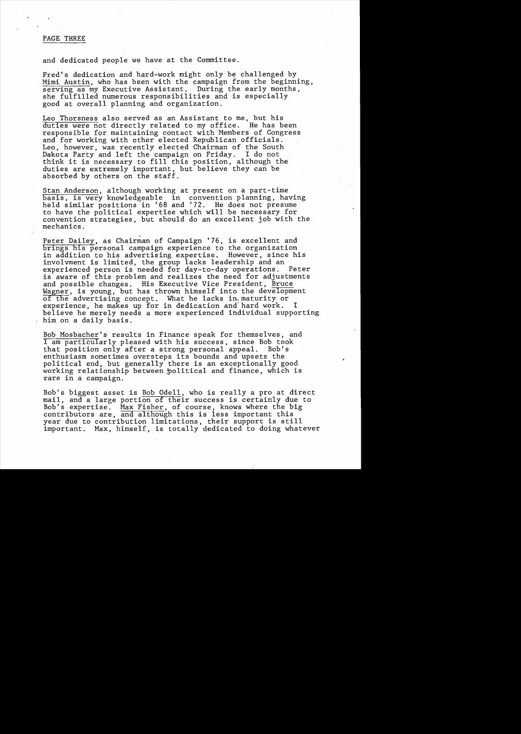## PAGE THREE

and dedicated people we have at the Committee.

,

Fred's dedication and hard-work might only be challenged by Mimi Austin, who has been with the campaign from the beginning, serving as my Executive Assistant. During the early months, she fulfilled numerous responsibilities and is especially good at overall planning and organization.

Leo Thorsness also served as an Assistant to me, but his<br>duties were not directly related to my office. He has been duties were not directly related to my office. responsible for maintaining contact with Members of Congress and for working with other elected Republican officials. Leo, however, was recently elected Chairman of the South Dakota Party and left the campaign on Friday. I do not think it is necessary to fill this position, although the duties are extremely important, but believe they can be absorbed by others on the staff.

Stan Anderson, although working at present on a part-time basis, is very knowledgeable in convention planning, having held similar positions in '68 and '72. He does not presume to have the political expertise which will be necessary for convention strategies, but should do an excellent job with the mechanics.

Peter Dailey, as Chairman of Campaign '76, is excellent and brings his personal campaign experience to the organization in addition to his advertising expertise. However, since his involvment is limited, the group lacks leadership and an experienced person is needed for day-to-day operations. Peter is aware of this problem and realizes the need for adjustments and possible changes. His Executive Vice President, Bruce Wagner, is young, but has thrown himself into the development of the advertising concept. What he lacks in. maturity or experience, he makes up for in dedication and hard work. I believe he merely needs a more experienced individual supporting him on a daily basis.

Bob Mosbacher's results in Finance speak for themselves, and I am particularly pleased with his success, since Bob took that position only after a strong personal appeal. enthusiasm sometimes oversteps its bounds and upsets the political end, but generally there is an exceptionally good working relationship between political and finance, which is rare in a campaign.

Bob's biggest asset is Bob Odell, who is really a pro at direct mail, and a large portion of their success is certainly due to Bob's expertise. Max Fisher, of course, knows where the big contributors are, and although this is less important this year due to contribution limitations, their support is still important. Max, himself, is totally dedicated to doing whatever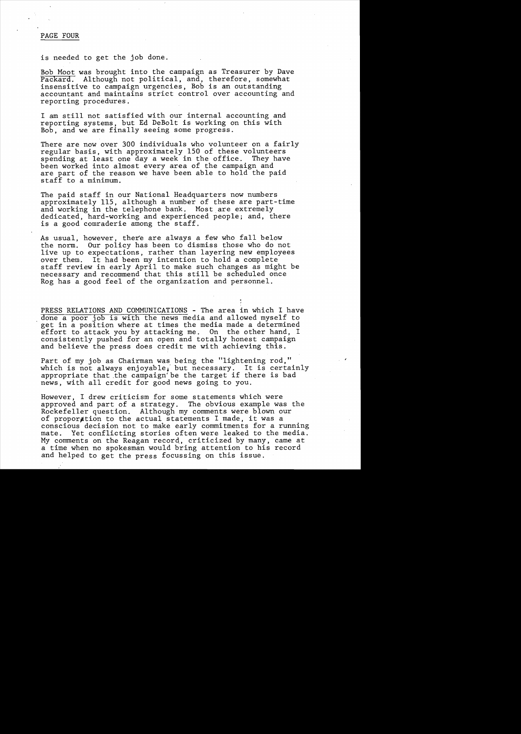#### PAGE FOUR

is needed to get the job done.

Bob Moot was brought into the campaign as Treasurer by Dave Packard. Although not political, and, therefore, somewhat insensitive to campaign urgencies, Bob is an outstanding accountant and maintains strict control over accounting and reporting procedures.

I am still not satisfied with our internal accounting and reporting systems, but Ed DeBolt is working on this with Bob, and we are finally seeing some progress.

There are now over 300 individuals who volunteer on a fairly regular basis, with approximately 150 of these volunteers spending at least one day a week in the office. been worked into almost every area of the campaign and are part of the reason we have been able to hold the paid staff to a minimum.

The paid staff in our National Headquarters now numbers approximately 115, although a number of these are part-time and working in the telephone bank. Most are extremely dedicated, hard-working and experienced people; and, there is a good comraderie among the staff.

As usual, however, there are always a few who fall below the norm. Our policy has been to dismiss those who do not live up to expectations, rather than layering new employees over them. It had been my intention to hold a complete staff review in early April to make such changes as might be necessary and recommend that this still be scheduled once Rog has a good feel of the organization and personnel.

PRESS RELATIONS AND COMMUNICATIONS - The area in which I have done a poor job is with the news media and allowed myself to get in a position where at times the media made a determined effort to attack you by attacking me. On the other hand, I consistently pushed for an open and totally honest campaign and believe the press does credit me with achieving this.

Part of my job as Chairman was being the "lightening rod," which is not always enjoyable, but necessary. It is certainly appropriate that ,the campaign'be the target if there is bad news, with all credit for good news going to you.

However, I drew criticism for some statements which were approved and part of a strategy. The obvious example was the Rockefeller question. Although my comments were blown our of proporation to the actual statements I made, it was a conscious decision not to make early commitments for a running mate. Yet conflicting stories often were leaked to the media. My comments on the Reagan record, criticized by many, came at a time when no spokesman would bring attention to his record and helped to get the press focussing on this issue.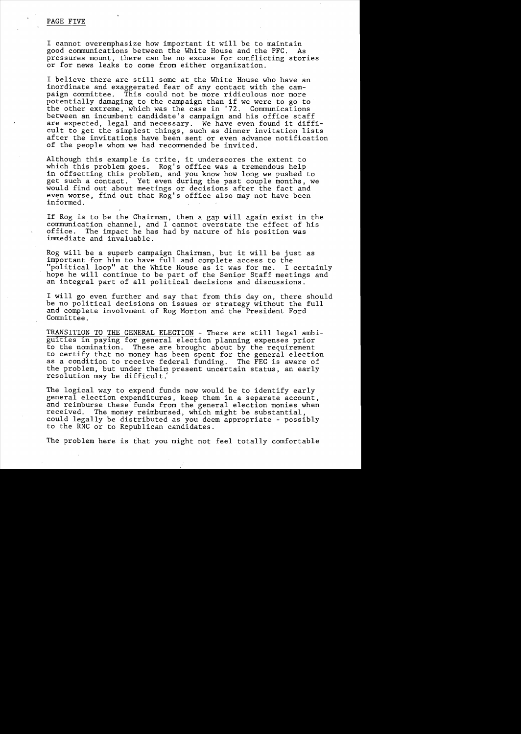## PAGE FIVE

I cannot overemphasize how important it will be to maintain good communications between the White House and the PFC. pressures mount, there can be no excuse for conflicting stories or for news leaks to come from either organization.

I believe there are still some at the White House who have an inordinate and exaggerated fear of any contact with the campaign committee. This could not be more ridiculous nor more potentially damaging to the campaign than if we were to go to the other extreme, which was the case in '72. Communications between an incumbent candidate's campaign and his office staff are expected, legal and necessary. We have even found it difficult to get the simplest things, such as dinner invitation lists after the invitations have been sent or even advance notification of the people whom we had recommended be invited.

Although this example is trite, it underscores the extent to which this problem goes. Rog's office was a tremendous help in offsetting this problem, and you know how long we pushed to get such a contact. Yet even during the past couple months, we would find out about meetings or decisions after the fact and even worse, find out that Rog's office also may not have been informed.

If Rog is to be the Chairman, then a gap will again exist in the communication channel, and I cannot overstate the effect of his office. The impact he has had by nature of his position was immediate and invaluable.

Rog will be a superb campaign Chairman, but it will be just as important for him to have full and complete access to the "political loop" at the White House as it was for me. I certainly hope he will continue to be part of the Senior Staff meetings and an integral part of all political decisions and discussions.

I will go even further and say that from this day on, there should be no political decisions on issues or strategy without the full and complete involvment of Rog Morton and the President Ford Committee.

TRANSITION TO THE GENERAL ELECTION - There are still legal ambiguities in paying for general election planning expenses prior to the nomination. These are brought about by the requirement to the homination. These are srought about by the requirement as a condition to receive federal funding. The FEC is aware of the problem, but under their present uncertain status, an early resolution may be difficult.'

The logical way to expend funds now would be to identify early general election expenditures, keep them in a separate account, and reimburse these funds from the general election monies when received. The money reimbursed, which might be substantial, could legally be distributed as you deem appropriate - possibly to the RNC or to Republican candidates.

The problem here is that you might not feel totally comfortable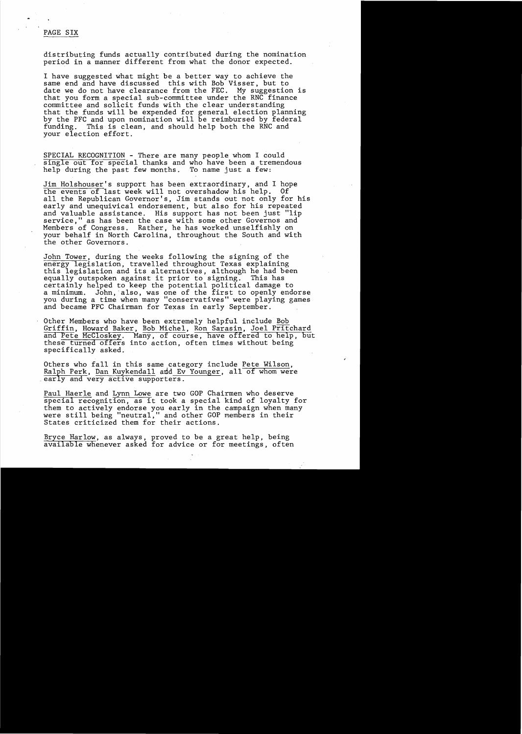## PAGE SIX

distributing funds actually contributed during the nomination period in a manner different from what the donor expected.

I have suggested what might be a better way to achieve the same end and have discussed this with Bob Visser, but to date we do not have clearance from the FEC. My suggestion is that you form a special sub-committee under the RNC finance committee and solicit funds with the clear understanding that the funds will be expended for general election planning by the PFC and upon nomination will be reimbursed by federal funding. This is clean, and should help both the RNC and your election effort.

SPECIAL RECOGNITION - There are many people whom I could single out for special thanks and who have been a tremendous help during the past few months. To name just a few:

Jim Holshouser's support has been extraordinary, and I hope the events of last week will not overshadow his help. all the Republican Governor's, Jim stands out not only for his early and unequivical endorsement, but also for his repeated and valuable assistance. His support has not been just "lip service," as has been the case with some other Governos and Members of Congress. Rather, he has worked unselfishly on your behalf in North Carolina, throughout the South and with the other Governors.

John Tower, during the weeks following the signing of the energy legislation, travelled throughout Texas explaining this legislation and its alternatives, although he had been equally outspoken against it prior to signing. This has certainly helped to keep the potential political damage to ecreating helped to keep the potential political damage to<br>a minimum. John, also, was one of the first to openly endorse you during a time when many "conservatives" were playing games and became PFC Chairman for Texas in early September.

Other Members who have been extremely helpful include Bob Griffin, Howard Baker, Bob Michel, Ron Sarasin, Joel Pritchard and Pete McCloskey. Many, of course, have offered to help, hut these turned offers into action, often times without being specifically asked.

Others who fall in this same category include Pete Wilson,  $Ralph$  Perk, Dan Kuykendall and Ev Younger, all of whom were early and very active supporters.

Paul Haerle and Lynn Lowe are two GOP Chairmen who deserve special recognition, as it took a special kind of loyalty for them to actively endorse you early in the campaign when many were still being "neutral," and other GOP members in their States criticized them for their actions.

Bryce Harlow, as always, proved to be a great help, being available whenever asked for advice or for meetings, often